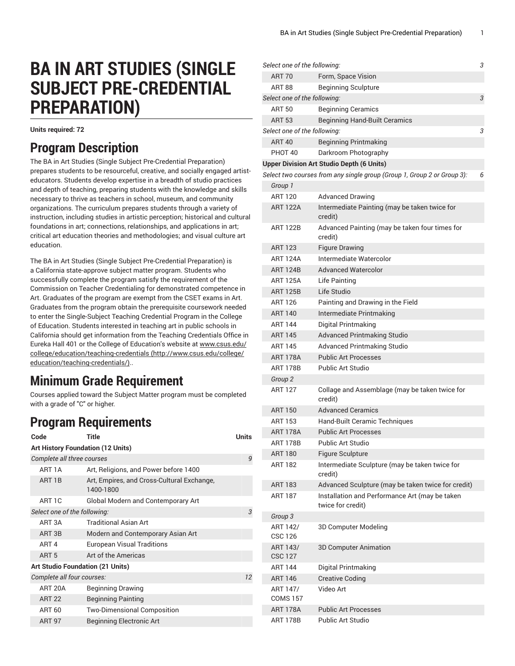# **BA IN ART STUDIES (SINGLE SUBJECT PRE-CREDENTIAL PREPARATION)**

**Units required: 72**

### **Program Description**

The BA in Art Studies (Single Subject Pre-Credential Preparation) prepares students to be resourceful, creative, and socially engaged artisteducators. Students develop expertise in a breadth of studio practices and depth of teaching, preparing students with the knowledge and skills necessary to thrive as teachers in school, museum, and community organizations. The curriculum prepares students through a variety of instruction, including studies in artistic perception; historical and cultural foundations in art; connections, relationships, and applications in art; critical art education theories and methodologies; and visual culture art education.

The BA in Art Studies (Single Subject Pre-Credential Preparation) is a California state-approve subject matter program. Students who successfully complete the program satisfy the requirement of the Commission on Teacher Credentialing for demonstrated competence in Art. Graduates of the program are exempt from the CSET exams in Art. Graduates from the program obtain the prerequisite coursework needed to enter the Single-Subject Teaching Credential Program in the College of Education. Students interested in teaching art in public schools in California should get information from the Teaching Credentials Office in Eureka Hall 401 or the College of Education's website at [www.csus.edu/](http://www.csus.edu/college/education/teaching-credentials/) [college/education/teaching-credentials](http://www.csus.edu/college/education/teaching-credentials/) [\(http://www.csus.edu/college/](http://www.csus.edu/college/education/teaching-credentials/) [education/teaching-credentials/\)](http://www.csus.edu/college/education/teaching-credentials/)..

# **Minimum Grade Requirement**

Courses applied toward the Subject Matter program must be completed with a grade of "C" or higher.

## **Program Requirements**

| Code                                     | Title                                                   | <b>Units</b> |  |  |  |
|------------------------------------------|---------------------------------------------------------|--------------|--|--|--|
| <b>Art History Foundation (12 Units)</b> |                                                         |              |  |  |  |
| Complete all three courses               |                                                         | 9            |  |  |  |
| ART 1A                                   | Art, Religions, and Power before 1400                   |              |  |  |  |
| ART <sub>1B</sub>                        | Art, Empires, and Cross-Cultural Exchange,<br>1400-1800 |              |  |  |  |
| ART 1C                                   | Global Modern and Contemporary Art                      |              |  |  |  |
| Select one of the following:             |                                                         | 3            |  |  |  |
| ART <sub>3</sub> A                       | <b>Traditional Asian Art</b>                            |              |  |  |  |
| ART <sub>3B</sub>                        | Modern and Contemporary Asian Art                       |              |  |  |  |
| ART <sub>4</sub>                         | <b>European Visual Traditions</b>                       |              |  |  |  |
| ART <sub>5</sub>                         | Art of the Americas                                     |              |  |  |  |
| <b>Art Studio Foundation (21 Units)</b>  |                                                         |              |  |  |  |
| Complete all four courses:               |                                                         | 12           |  |  |  |
| ART 20A                                  | <b>Beginning Drawing</b>                                |              |  |  |  |
| <b>ART 22</b>                            | <b>Beginning Painting</b>                               |              |  |  |  |
| ART 60                                   | <b>Two-Dimensional Composition</b>                      |              |  |  |  |
| <b>ART 97</b>                            | <b>Beginning Electronic Art</b>                         |              |  |  |  |

| Select one of the following: |                                                                         | 3 |
|------------------------------|-------------------------------------------------------------------------|---|
| <b>ART 70</b>                | Form, Space Vision                                                      |   |
| <b>ART 88</b>                | <b>Beginning Sculpture</b>                                              |   |
| Select one of the following: |                                                                         | 3 |
| <b>ART 50</b>                | <b>Beginning Ceramics</b>                                               |   |
| <b>ART 53</b>                | <b>Beginning Hand-Built Ceramics</b>                                    |   |
| Select one of the following: |                                                                         | 3 |
| <b>ART 40</b>                | <b>Beginning Printmaking</b>                                            |   |
| PHOT 40                      | Darkroom Photography                                                    |   |
|                              | <b>Upper Division Art Studio Depth (6 Units)</b>                        |   |
|                              | Select two courses from any single group (Group 1, Group 2 or Group 3): | 6 |
| Group 1                      |                                                                         |   |
| <b>ART 120</b>               | <b>Advanced Drawing</b>                                                 |   |
| <b>ART 122A</b>              | Intermediate Painting (may be taken twice for<br>credit)                |   |
| ART 122B                     | Advanced Painting (may be taken four times for<br>credit)               |   |
| <b>ART 123</b>               | <b>Figure Drawing</b>                                                   |   |
| <b>ART 124A</b>              | Intermediate Watercolor                                                 |   |
| <b>ART 124B</b>              | <b>Advanced Watercolor</b>                                              |   |
| <b>ART 125A</b>              | Life Painting                                                           |   |
| <b>ART 125B</b>              | Life Studio                                                             |   |
| ART 126                      | Painting and Drawing in the Field                                       |   |
| <b>ART 140</b>               | Intermediate Printmaking                                                |   |
| <b>ART 144</b>               | Digital Printmaking                                                     |   |
| <b>ART 145</b>               | <b>Advanced Printmaking Studio</b>                                      |   |
| <b>ART 145</b>               | <b>Advanced Printmaking Studio</b>                                      |   |
| <b>ART 178A</b>              | <b>Public Art Processes</b>                                             |   |
| <b>ART 178B</b>              | <b>Public Art Studio</b>                                                |   |
| Group <sub>2</sub>           |                                                                         |   |
| <b>ART 127</b>               | Collage and Assemblage (may be taken twice for<br>credit)               |   |
| <b>ART 150</b>               | <b>Advanced Ceramics</b>                                                |   |
| ART 153                      | Hand-Built Ceramic Techniques                                           |   |
| <b>ART 178A</b>              | <b>Public Art Processes</b>                                             |   |
| <b>ART 178B</b>              | <b>Public Art Studio</b>                                                |   |
| <b>ART 180</b>               | Figure Sculpture                                                        |   |
| ART 182                      | Intermediate Sculpture (may be taken twice for<br>credit)               |   |
| ART 183                      | Advanced Sculpture (may be taken twice for credit)                      |   |
| <b>ART 187</b>               | Installation and Performance Art (may be taken<br>twice for credit)     |   |
| Group 3                      |                                                                         |   |
| ART 142/<br>CSC 126          | 3D Computer Modeling                                                    |   |
| ART 143/<br><b>CSC 127</b>   | 3D Computer Animation                                                   |   |
| <b>ART 144</b>               | Digital Printmaking                                                     |   |
| <b>ART 146</b>               | <b>Creative Coding</b>                                                  |   |
| ART 147/<br><b>COMS 157</b>  | Video Art                                                               |   |
| <b>ART 178A</b>              | <b>Public Art Processes</b>                                             |   |
| <b>ART 178B</b>              | <b>Public Art Studio</b>                                                |   |
|                              |                                                                         |   |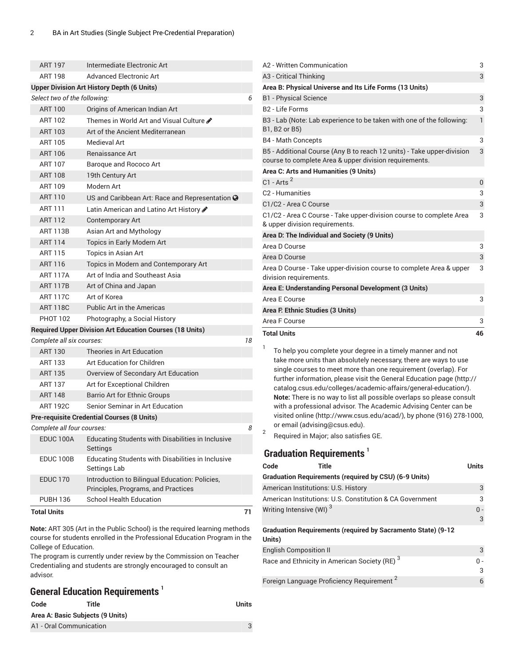| <b>ART 197</b>                                   | Intermediate Electronic Art                                               |    | A2 - Written Communication                                                                                                               | 3            |  |
|--------------------------------------------------|---------------------------------------------------------------------------|----|------------------------------------------------------------------------------------------------------------------------------------------|--------------|--|
| <b>Advanced Electronic Art</b><br><b>ART 198</b> |                                                                           |    | A3 - Critical Thinking                                                                                                                   |              |  |
|                                                  | <b>Upper Division Art History Depth (6 Units)</b>                         |    | Area B: Physical Universe and Its Life Forms (13 Units)                                                                                  |              |  |
| Select two of the following:                     |                                                                           | 6  | <b>B1</b> - Physical Science                                                                                                             | 3            |  |
| <b>ART 100</b>                                   | Origins of American Indian Art                                            |    | B <sub>2</sub> - Life Forms                                                                                                              | 3            |  |
| <b>ART 102</b>                                   | Themes in World Art and Visual Culture ♪                                  |    | B3 - Lab (Note: Lab experience to be taken with one of the following:                                                                    | $\mathbf{1}$ |  |
| <b>ART 103</b>                                   | Art of the Ancient Mediterranean                                          |    | B1, B2 or B5)                                                                                                                            |              |  |
| <b>ART 105</b>                                   | Medieval Art                                                              |    | <b>B4 - Math Concepts</b>                                                                                                                | 3            |  |
| <b>ART 106</b>                                   | Renaissance Art                                                           |    | B5 - Additional Course (Any B to reach 12 units) - Take upper-division                                                                   | 3            |  |
| <b>ART 107</b>                                   | Baroque and Rococo Art                                                    |    | course to complete Area & upper division requirements.                                                                                   |              |  |
| <b>ART 108</b>                                   | 19th Century Art                                                          |    | Area C: Arts and Humanities (9 Units)                                                                                                    |              |  |
| <b>ART 109</b>                                   | Modern Art                                                                |    | $C1 - Arts2$                                                                                                                             | $\pmb{0}$    |  |
| <b>ART 110</b>                                   | US and Caribbean Art: Race and Representation @                           |    | C <sub>2</sub> - Humanities                                                                                                              | 3            |  |
| <b>ART 111</b>                                   | Latin American and Latino Art History                                     |    | C1/C2 - Area C Course                                                                                                                    | 3            |  |
| <b>ART 112</b>                                   | <b>Contemporary Art</b>                                                   |    | C1/C2 - Area C Course - Take upper-division course to complete Area<br>& upper division requirements.                                    | 3            |  |
| <b>ART 113B</b>                                  | Asian Art and Mythology                                                   |    | Area D: The Individual and Society (9 Units)                                                                                             |              |  |
| <b>ART 114</b>                                   | Topics in Early Modern Art                                                |    | Area D Course                                                                                                                            | 3            |  |
| <b>ART 115</b>                                   | Topics in Asian Art                                                       |    | Area D Course                                                                                                                            | 3            |  |
| ART 116                                          | Topics in Modern and Contemporary Art                                     |    | Area D Course - Take upper-division course to complete Area & upper                                                                      | 3            |  |
| <b>ART 117A</b>                                  | Art of India and Southeast Asia                                           |    | division requirements.                                                                                                                   |              |  |
| <b>ART 117B</b>                                  | Art of China and Japan                                                    |    | Area E: Understanding Personal Development (3 Units)                                                                                     |              |  |
| <b>ART 117C</b>                                  | Art of Korea                                                              |    | Area E Course                                                                                                                            | 3            |  |
| <b>ART 118C</b>                                  | <b>Public Art in the Americas</b>                                         |    | Area F. Ethnic Studies (3 Units)                                                                                                         |              |  |
| <b>PHOT 102</b>                                  | Photography, a Social History                                             |    | Area F Course                                                                                                                            | 3            |  |
|                                                  | <b>Required Upper Division Art Education Courses (18 Units)</b>           |    | <b>Total Units</b>                                                                                                                       | 46           |  |
| Complete all six courses:                        |                                                                           | 18 |                                                                                                                                          |              |  |
| <b>ART 130</b>                                   | Theories in Art Education                                                 |    | -1<br>To help you complete your degree in a timely manner and not                                                                        |              |  |
| <b>ART 133</b>                                   | Art Education for Children                                                |    | take more units than absolutely necessary, there are ways to use                                                                         |              |  |
| <b>ART 135</b>                                   | Overview of Secondary Art Education                                       |    | single courses to meet more than one requirement (overlap). For<br>further information, please visit the General Education page (http:// |              |  |
| <b>ART 137</b>                                   | Art for Exceptional Children                                              |    | catalog.csus.edu/colleges/academic-affairs/general-education/).                                                                          |              |  |
| <b>ART 148</b>                                   | <b>Barrio Art for Ethnic Groups</b>                                       |    | Note: There is no way to list all possible overlaps so please consult                                                                    |              |  |
| <b>ART 192C</b>                                  | Senior Seminar in Art Education                                           |    | with a professional advisor. The Academic Advising Center can be                                                                         |              |  |
|                                                  | <b>Pre-requisite Credential Courses (8 Units)</b>                         |    | visited online (http://www.csus.edu/acad/), by phone (916) 278-1000,                                                                     |              |  |
| Complete all four courses:                       |                                                                           | 8  | or email (advising@csus.edu).<br>2                                                                                                       |              |  |
| EDUC 100A                                        | Educating Students with Disabilities in Inclusive<br>Settings             |    | Required in Major; also satisfies GE.                                                                                                    |              |  |
| EDUC 100B                                        | Educating Students with Disabilities in Inclusive<br>Settings Lab         |    | <b>Graduation Requirements</b> <sup>1</sup><br><b>Title</b><br>Code                                                                      | Units        |  |
| <b>EDUC 170</b>                                  | Introduction to Bilingual Education: Policies,                            |    | <b>Graduation Requirements (required by CSU) (6-9 Units)</b>                                                                             |              |  |
|                                                  | Principles, Programs, and Practices                                       |    | American Institutions: U.S. History                                                                                                      | 3            |  |
| <b>PUBH 136</b>                                  | School Health Education                                                   |    | American Institutions: U.S. Constitution & CA Government                                                                                 | 3            |  |
| <b>Total Units</b>                               |                                                                           | 71 | Writing Intensive (WI) <sup>3</sup>                                                                                                      | $0 -$<br>3   |  |
|                                                  | Note: ART 305 (Art in the Public School) is the required learning methods |    | <b>Graduation Requirements (required by Sacramento State) (9-12</b>                                                                      |              |  |

**Units)**

English Composition II 3

 $0 -$ 3

6

Race and Ethnicity in American Society (RE)<sup>3</sup>

Foreign Language Proficiency Requirement 2

**Note:** ART 305 (Art in the Public School) is the required learning methods course for students enrolled in the Professional Education Program in the College of Education.

The program is currently under review by the Commission on Teacher Credentialing and students are strongly encouraged to consult an advisor.

#### **General Education Requirements 1**

| Code | Title                            | Units |
|------|----------------------------------|-------|
|      | Area A: Basic Subjects (9 Units) |       |
|      | A1 - Oral Communication          |       |